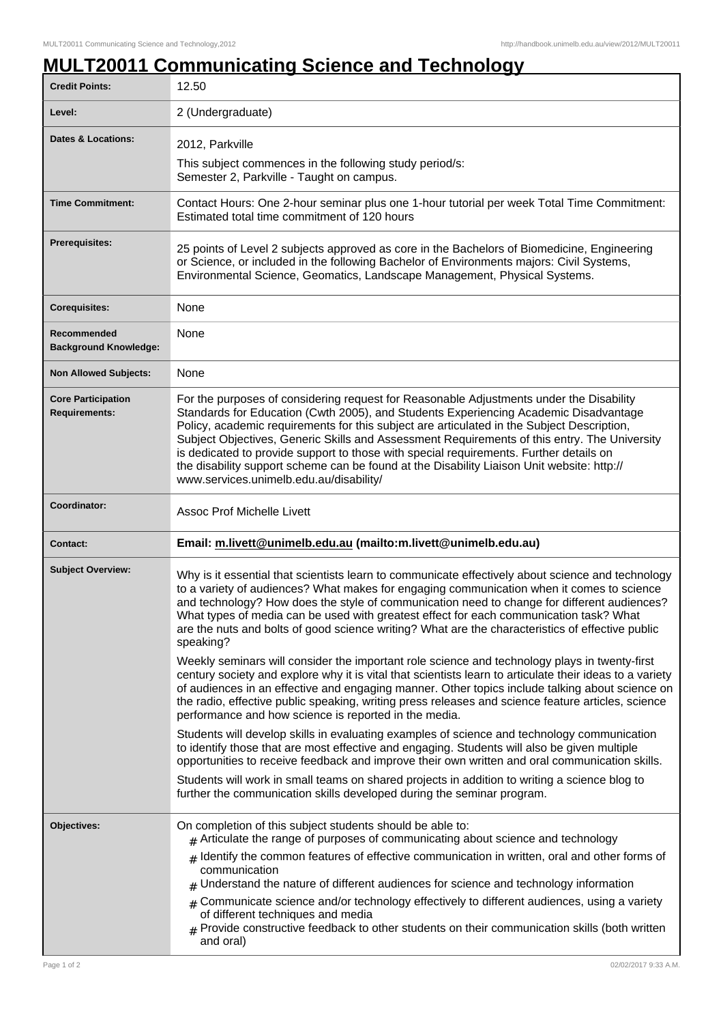## **MULT20011 Communicating Science and Technology**

| <b>Credit Points:</b>                             | 12.50                                                                                                                                                                                                                                                                                                                                                                                                                                                                                                                                                                                                                    |
|---------------------------------------------------|--------------------------------------------------------------------------------------------------------------------------------------------------------------------------------------------------------------------------------------------------------------------------------------------------------------------------------------------------------------------------------------------------------------------------------------------------------------------------------------------------------------------------------------------------------------------------------------------------------------------------|
| Level:                                            | 2 (Undergraduate)                                                                                                                                                                                                                                                                                                                                                                                                                                                                                                                                                                                                        |
| <b>Dates &amp; Locations:</b>                     | 2012, Parkville                                                                                                                                                                                                                                                                                                                                                                                                                                                                                                                                                                                                          |
|                                                   | This subject commences in the following study period/s:<br>Semester 2, Parkville - Taught on campus.                                                                                                                                                                                                                                                                                                                                                                                                                                                                                                                     |
| <b>Time Commitment:</b>                           | Contact Hours: One 2-hour seminar plus one 1-hour tutorial per week Total Time Commitment:<br>Estimated total time commitment of 120 hours                                                                                                                                                                                                                                                                                                                                                                                                                                                                               |
| Prerequisites:                                    | 25 points of Level 2 subjects approved as core in the Bachelors of Biomedicine, Engineering<br>or Science, or included in the following Bachelor of Environments majors: Civil Systems,<br>Environmental Science, Geomatics, Landscape Management, Physical Systems.                                                                                                                                                                                                                                                                                                                                                     |
| <b>Corequisites:</b>                              | None                                                                                                                                                                                                                                                                                                                                                                                                                                                                                                                                                                                                                     |
| Recommended<br><b>Background Knowledge:</b>       | None                                                                                                                                                                                                                                                                                                                                                                                                                                                                                                                                                                                                                     |
| <b>Non Allowed Subjects:</b>                      | None                                                                                                                                                                                                                                                                                                                                                                                                                                                                                                                                                                                                                     |
| <b>Core Participation</b><br><b>Requirements:</b> | For the purposes of considering request for Reasonable Adjustments under the Disability<br>Standards for Education (Cwth 2005), and Students Experiencing Academic Disadvantage<br>Policy, academic requirements for this subject are articulated in the Subject Description,<br>Subject Objectives, Generic Skills and Assessment Requirements of this entry. The University<br>is dedicated to provide support to those with special requirements. Further details on<br>the disability support scheme can be found at the Disability Liaison Unit website: http://<br>www.services.unimelb.edu.au/disability/         |
| Coordinator:                                      | <b>Assoc Prof Michelle Livett</b>                                                                                                                                                                                                                                                                                                                                                                                                                                                                                                                                                                                        |
| <b>Contact:</b>                                   | Email: m.livett@unimelb.edu.au (mailto:m.livett@unimelb.edu.au)                                                                                                                                                                                                                                                                                                                                                                                                                                                                                                                                                          |
| <b>Subject Overview:</b>                          | Why is it essential that scientists learn to communicate effectively about science and technology<br>to a variety of audiences? What makes for engaging communication when it comes to science<br>and technology? How does the style of communication need to change for different audiences?<br>What types of media can be used with greatest effect for each communication task? What<br>are the nuts and bolts of good science writing? What are the characteristics of effective public<br>speaking?                                                                                                                 |
|                                                   | Weekly seminars will consider the important role science and technology plays in twenty-first<br>century society and explore why it is vital that scientists learn to articulate their ideas to a variety<br>of audiences in an effective and engaging manner. Other topics include talking about science on<br>the radio, effective public speaking, writing press releases and science feature articles, science<br>performance and how science is reported in the media.                                                                                                                                              |
|                                                   | Students will develop skills in evaluating examples of science and technology communication<br>to identify those that are most effective and engaging. Students will also be given multiple<br>opportunities to receive feedback and improve their own written and oral communication skills.                                                                                                                                                                                                                                                                                                                            |
|                                                   | Students will work in small teams on shared projects in addition to writing a science blog to<br>further the communication skills developed during the seminar program.                                                                                                                                                                                                                                                                                                                                                                                                                                                  |
| Objectives:                                       | On completion of this subject students should be able to:<br>$#$ Articulate the range of purposes of communicating about science and technology<br>$_{\#}$ Identify the common features of effective communication in written, oral and other forms of<br>communication<br>$#$ Understand the nature of different audiences for science and technology information<br>$#$ Communicate science and/or technology effectively to different audiences, using a variety<br>of different techniques and media<br>$#$ Provide constructive feedback to other students on their communication skills (both written<br>and oral) |